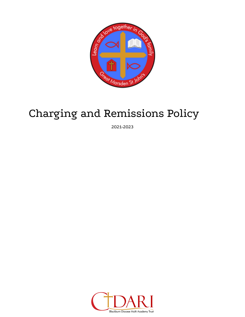

# Charging and Remissions Policy

2021-2023

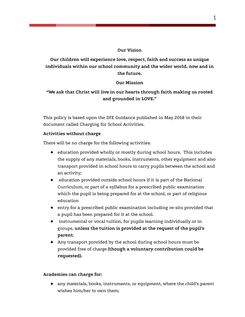# **Our Vision**

**Our children will experience love, respect, faith and success as unique individuals within our school community and the wider world, now and in the future.**

# **Our Mission**

# **"We ask that Christ will live in our hearts through faith making us rooted and grounded in LOVE."**

This policy is based upon the DfE Guidance published in May 2018 in their document called Charging for School Activities.

# **Activities without charge**

There will be no charge for the following activities:

- education provided wholly or mostly during school hours. This includes the supply of any materials, books, instruments, other equipment and also transport provided in school hours to carry pupils between the school and an activity;
- education provided outside school hours if it is part of the National Curriculum, or part of a syllabus for a prescribed public examination which the pupil is being prepared for at the school, or part of religious education
- entry for a prescribed public examination including re-sits provided that a pupil has been prepared for it at the school.
- instrumental or vocal tuition, for pupils learning individually or in groups, **unless the tuition is provided at the request of the pupil's parent**;
- Any transport provided by the school during school hours must be provided free of charge **(though a voluntary contribution could be requested).**

### **Academies can charge for:**

● any materials, books, instruments, or equipment, where the child's parent wishes him/her to own them;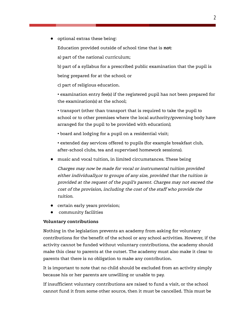● optional extras these being:

Education provided outside of school time that is **not**:

a) part of the national curriculum;

b) part of a syllabus for a prescribed public examination that the pupil is

being prepared for at the school; or

c) part of religious education.

• examination entry fee(s) if the registered pupil has not been prepared for the examination(s) at the school;

• transport (other than transport that is required to take the pupil to school or to other premises where the local authority/governing body have arranged for the pupil to be provided with education);

• board and lodging for a pupil on a residential visit;

• extended day services offered to pupils (for example breakfast club, after-school clubs, tea and supervised homework sessions).

music and vocal tuition, in limited circumstances. These being

Charges may now be made for vocal or instrumental tuition provided either individually,or to groups of any size, provided that the tuition is provided at the request of the pupil's parent. Charges may not exceed the cost of the provision, including the cost of the staff who provide the tuition.

- certain early years provision;
- community facilities

#### **Voluntary contributions**

Nothing in the legislation prevents an academy from asking for voluntary contributions for the benefit of the school or any school activities. However, if the activity cannot be funded without voluntary contributions, the academy should make this clear to parents at the outset. The academy must also make it clear to parents that there is no obligation to make any contribution.

It is important to note that no child should be excluded from an activity simply because his or her parents are unwilling or unable to pay.

If insufficient voluntary contributions are raised to fund a visit, or the school cannot fund it from some other source, then it must be cancelled. This must be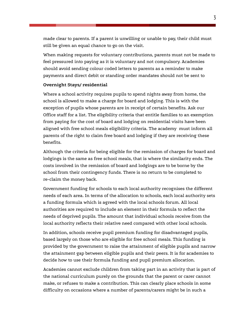made clear to parents. If a parent is unwilling or unable to pay, their child must still be given an equal chance to go on the visit.

When making requests for voluntary contributions, parents must not be made to feel pressured into paying as it is voluntary and not compulsory. Academies should avoid sending colour coded letters to parents as a reminder to make payments and direct debit or standing order mandates should not be sent to

#### **Overnight Stays/ residential**

Where a school activity requires pupils to spend nights away from home, the school is allowed to make a charge for board and lodging. This is with the exception of pupils whose parents are in receipt of certain benefits. Ask our Office staff for a list. The eligibility criteria that entitle families to an exemption from paying for the cost of board and lodging on residential visits have been aligned with free school meals eligibility criteria. The academy must inform all parents of the right to claim free board and lodging if they are receiving these benefits.

Although the criteria for being eligible for the remission of charges for board and lodgings is the same as free school meals, that is where the similarity ends. The costs involved in the remission of board and lodgings are to be borne by the school from their contingency funds. There is no return to be completed to re-claim the money back.

Government funding for schools to each local authority recognises the different needs of each area. In terms of the allocation to schools, each local authority sets a funding formula which is agreed with the local schools forum. All local authorities are required to include an element in their formula to reflect the needs of deprived pupils. The amount that individual schools receive from the local authority reflects their relative need compared with other local schools.

In addition, schools receive pupil premium funding for disadvantaged pupils, based largely on those who are eligible for free school meals. This funding is provided by the government to raise the attainment of eligible pupils and narrow the attainment gap between eligible pupils and their peers. It is for academies to decide how to use their formula funding and pupil premium allocation.

Academies cannot exclude children from taking part in an activity that is part of the national curriculum purely on the grounds that the parent or carer cannot make, or refuses to make a contribution. This can clearly place schools in some difficulty on occasions where a number of parents/carers might be in such a